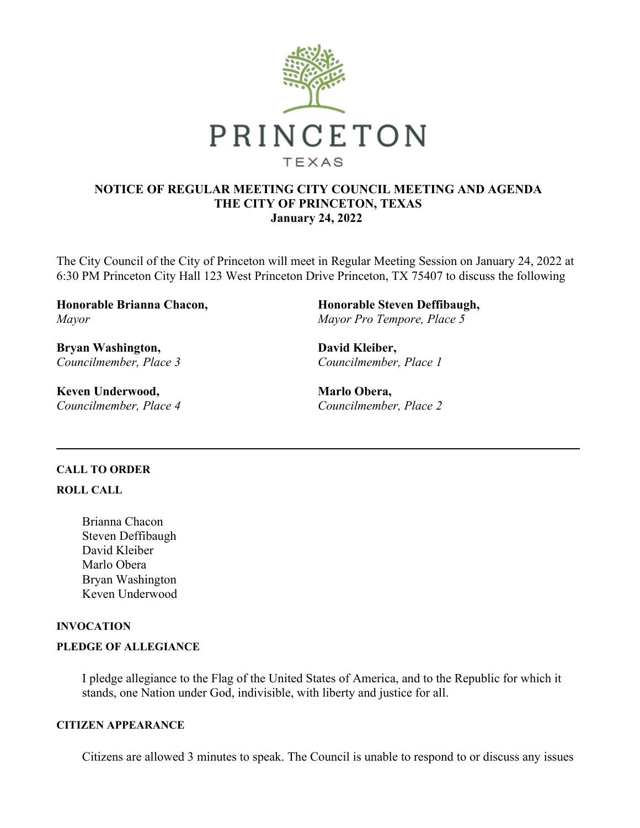

### **NOTICE OF REGULAR MEETING CITY COUNCIL MEETING AND AGENDA THE CITY OF PRINCETON, TEXAS January 24, 2022**

The City Council of the City of Princeton will meet in Regular Meeting Session on January 24, 2022 at 6:30 PM Princeton City Hall 123 West Princeton Drive Princeton, TX 75407 to discuss the following

**Honorable Brianna Chacon,** *Mayor*

**Bryan Washington,** *Councilmember, Place 3*

**Keven Underwood,** *Councilmember, Place 4* **Honorable Steven Deffibaugh,** *Mayor Pro Tempore, Place 5*

**David Kleiber,** *Councilmember, Place 1*

**Marlo Obera,** *Councilmember, Place 2*

### **CALL TO ORDER**

#### **ROLL CALL**

Brianna Chacon Steven Deffibaugh David Kleiber Marlo Obera Bryan Washington Keven Underwood

### **INVOCATION**

#### **PLEDGE OF ALLEGIANCE**

I pledge allegiance to the Flag of the United States of America, and to the Republic for which it stands, one Nation under God, indivisible, with liberty and justice for all.

#### **CITIZEN APPEARANCE**

Citizens are allowed 3 minutes to speak. The Council is unable to respond to or discuss any issues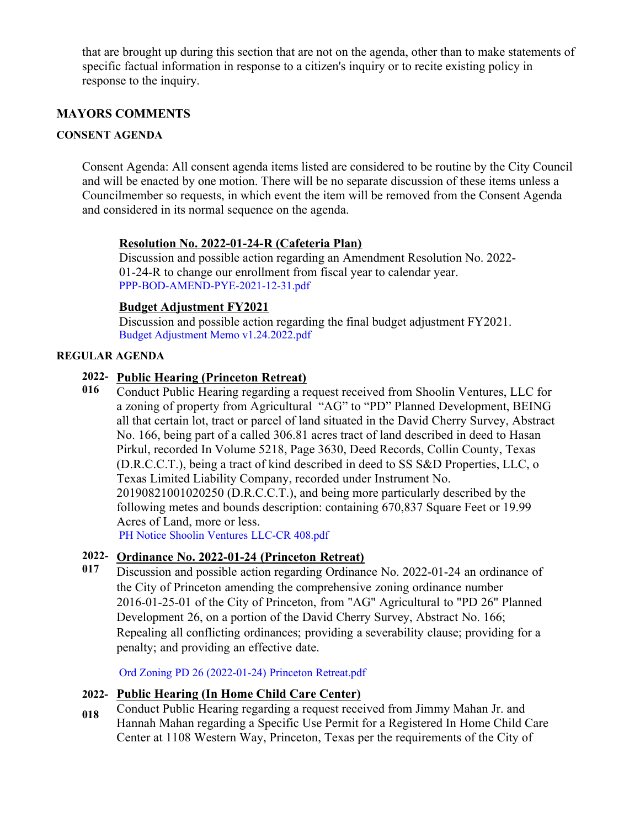that are brought up during this section that are not on the agenda, other than to make statements of specific factual information in response to a citizen's inquiry or to recite existing policy in response to the inquiry.

## **MAYORS COMMENTS**

### **CONSENT AGENDA**

Consent Agenda: All consent agenda items listed are considered to be routine by the City Council and will be enacted by one motion. There will be no separate discussion of these items unless a Councilmember so requests, in which event the item will be removed from the Consent Agenda and considered in its normal sequence on the agenda.

### **Resolution No. 2022-01-24-R (Cafeteria Plan)**

Discussion and possible action regarding an Amendment Resolution No. 2022- 01-24-R to change our enrollment from fiscal year to calendar year. [PPP-BOD-AMEND-PYE-2021-12-31.pdf](https://legistarweb-production.s3.amazonaws.com/uploads/attachment/pdf/1215018/PPP-BOD-AMEND-PYE-2021-12-31.pdf)

### **Budget Adjustment FY2021**

Discussion and possible action regarding the final budget adjustment FY2021. [Budget Adjustment Memo v1.24.2022.pdf](https://legistarweb-production.s3.amazonaws.com/uploads/attachment/pdf/1215014/Budget_Adjustment_Memo_v1.24.2022.pdf)

### **REGULAR AGENDA**

### **2022- Public Hearing (Princeton Retreat)**

**016** Conduct Public Hearing regarding a request received from Shoolin Ventures, LLC for a zoning of property from Agricultural "AG" to "PD" Planned Development, BEING all that certain lot, tract or parcel of land situated in the David Cherry Survey, Abstract No. 166, being part of a called 306.81 acres tract of land described in deed to Hasan Pirkul, recorded In Volume 5218, Page 3630, Deed Records, Collin County, Texas (D.R.C.C.T.), being a tract of kind described in deed to SS S&D Properties, LLC, o Texas Limited Liability Company, recorded under Instrument No. 20190821001020250 (D.R.C.C.T.), and being more particularly described by the following metes and bounds description: containing 670,837 Square Feet or 19.99 Acres of Land, more or less. [PH Notice Shoolin Ventures LLC-CR 408.pdf](https://legistarweb-production.s3.amazonaws.com/uploads/attachment/pdf/1216373/PH_Notice_Shoolin_Ventures_LLC-CR_408.pdf)

## **2022- Ordinance No. 2022-01-24 (Princeton Retreat)**

**017** Discussion and possible action regarding Ordinance No. 2022-01-24 an ordinance of the City of Princeton amending the comprehensive zoning ordinance number 2016-01-25-01 of the City of Princeton, from "AG" Agricultural to "PD 26" Planned Development 26, on a portion of the David Cherry Survey, Abstract No. 166; Repealing all conflicting ordinances; providing a severability clause; providing for a penalty; and providing an effective date.

[Ord Zoning PD 26 \(2022-01-24\) Princeton Retreat.pdf](https://legistarweb-production.s3.amazonaws.com/uploads/attachment/pdf/1215672/Ord_Zoning_PD_26__2022-01-24__Princeton_Retreat.pdf)

### **2022- Public Hearing (In Home Child Care Center)**

**018** Conduct Public Hearing regarding a request received from Jimmy Mahan Jr. and Hannah Mahan regarding a Specific Use Permit for a Registered In Home Child Care Center at 1108 Western Way, Princeton, Texas per the requirements of the City of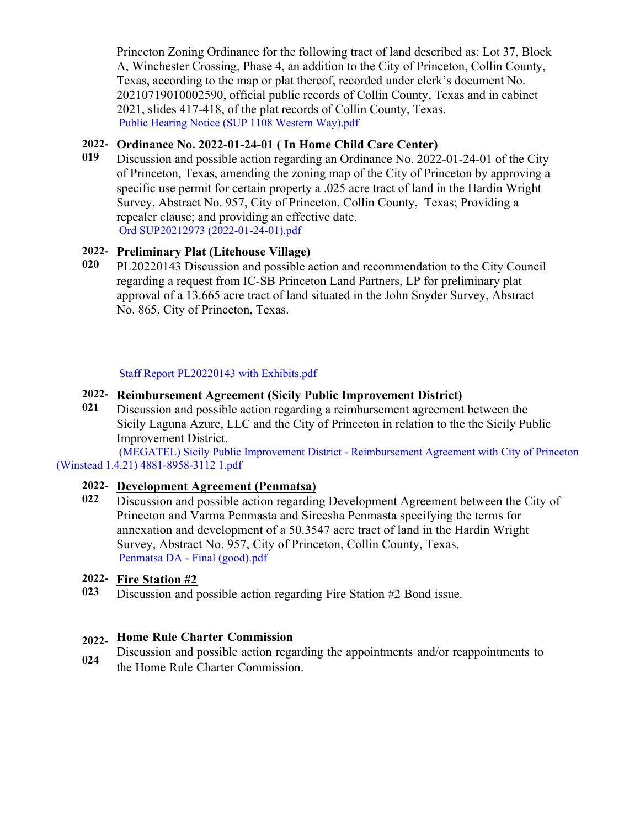Princeton Zoning Ordinance for the following tract of land described as: Lot 37, Block A, Winchester Crossing, Phase 4, an addition to the City of Princeton, Collin County, Texas, according to the map or plat thereof, recorded under clerk's document No. 20210719010002590, official public records of Collin County, Texas and in cabinet 2021, slides 417-418, of the plat records of Collin County, Texas. [Public Hearing Notice \(SUP 1108 Western Way\).pdf](https://legistarweb-production.s3.amazonaws.com/uploads/attachment/pdf/1216374/Public_Hearing_Notice__SUP_1108_Western_Way_.pdf)

## **2022- Ordinance No. 2022-01-24-01 ( In Home Child Care Center)**

**019** Discussion and possible action regarding an Ordinance No. 2022-01-24-01 of the City of Princeton, Texas, amending the zoning map of the City of Princeton by approving a specific use permit for certain property a .025 acre tract of land in the Hardin Wright Survey, Abstract No. 957, City of Princeton, Collin County, Texas; Providing a repealer clause; and providing an effective date. [Ord SUP20212973 \(2022-01-24-01\).pdf](https://legistarweb-production.s3.amazonaws.com/uploads/attachment/pdf/1215662/Ord_SUP20212973__2022-01-24-01_.pdf)

## **2022- Preliminary Plat (Litehouse Village)**

**020** PL20220143 Discussion and possible action and recommendation to the City Council regarding a request from IC-SB Princeton Land Partners, LP for preliminary plat approval of a 13.665 acre tract of land situated in the John Snyder Survey, Abstract No. 865, City of Princeton, Texas.

## [Staff Report PL20220143 with Exhibits.pdf](https://legistarweb-production.s3.amazonaws.com/uploads/attachment/pdf/1215790/Staff_Report_PL20220143_with_Exhibits.pdf)

## **2022- Reimbursement Agreement (Sicily Public Improvement District)**

**021** Discussion and possible action regarding a reimbursement agreement between the Sicily Laguna Azure, LLC and the City of Princeton in relation to the the Sicily Public Improvement District.

[\(MEGATEL\) Sicily Public Improvement District - Reimbursement Agreement with City of Princeton](https://legistarweb-production.s3.amazonaws.com/uploads/attachment/pdf/1216354/_MEGATEL__Sicily_Public_Improvement_District_-_Reimbursement_Agreement_with_City_of_Princeton__Winstead_1.4.21__4881-8958-3112_1.pdf) (Winstead 1.4.21) 4881-8958-3112 1.pdf

## **2022- Development Agreement (Penmatsa)**

**022** Discussion and possible action regarding Development Agreement between the City of Princeton and Varma Penmasta and Sireesha Penmasta specifying the terms for annexation and development of a 50.3547 acre tract of land in the Hardin Wright Survey, Abstract No. 957, City of Princeton, Collin County, Texas. [Penmatsa DA - Final \(good\).pdf](https://legistarweb-production.s3.amazonaws.com/uploads/attachment/pdf/1217813/Penmatsa_DA_-_Final__good_.pdf)

### **2022- Fire Station #2**

**023** Discussion and possible action regarding Fire Station #2 Bond issue.

# **2022- Home Rule Charter Commission**

**024** [Discussion and possible action regarding the appointments an](https://legistarweb-production.s3.amazonaws.com/uploads/attachment/pdf/1217193/Petition_to_Create_Southridge_PID__Princeton__-_Fully_Executed.pdf)d/or reappointments to the Home Rule Charter Commission.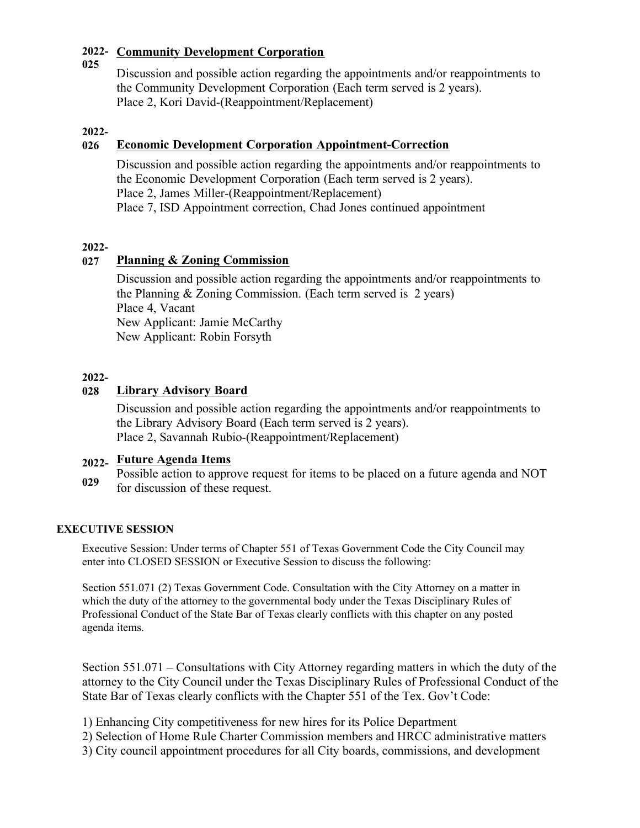#### **2022- Community Development Corporation 025**

Discussion and possible action regarding the appointments and/or reappointments to the Community Development Corporation (Each term served is 2 years). Place 2, Kori David-(Reappointment/Replacement)

### **2022-**

## **026 Economic Development Corporation Appointment-Correction**

Discussion and possible action regarding the appointments and/or reappointments to the Economic Development Corporation (Each term served is 2 years). Place 2, James Miller-(Reappointment/Replacement) Place 7, ISD Appointment correction, Chad Jones continued appointment

### **2022-**

## **027 Planning & Zoning Commission**

Discussion and possible action regarding the appointments and/or reappointments to the Planning & Zoning Commission. (Each term served is 2 years) Place 4, Vacant New Applicant: Jamie McCarthy New Applicant: Robin Forsyth

### **2022-**

## **028 Library Advisory Board**

Discussion and possible action regarding the appointments and/or reappointments to the Library Advisory Board (Each term served is 2 years). Place 2, Savannah Rubio-(Reappointment/Replacement)

# **2022- Future Agenda Items**

**029** Possible action to approve request for items to be placed on a future agenda and NOT for discussion of these request.

## **EXECUTIVE SESSION**

Executive Session: Under terms of Chapter 551 of Texas Government Code the City Council may enter into CLOSED SESSION or Executive Session to discuss the following:

Section 551.071 (2) Texas Government Code. Consultation with the City Attorney on a matter in which the duty of the attorney to the governmental body under the Texas Disciplinary Rules of Professional Conduct of the State Bar of Texas clearly conflicts with this chapter on any posted agenda items.

Section 551.071 – Consultations with City Attorney regarding matters in which the duty of the attorney to the City Council under the Texas Disciplinary Rules of Professional Conduct of the State Bar of Texas clearly conflicts with the Chapter 551 of the Tex. Gov't Code:

- 1) Enhancing City competitiveness for new hires for its Police Department
- 2) Selection of Home Rule Charter Commission members and HRCC administrative matters
- 3) City council appointment procedures for all City boards, commissions, and development